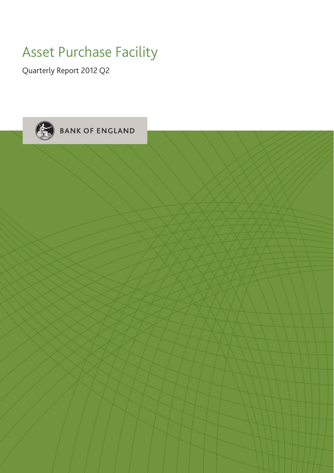## Asset Purchase Facility

Quarterly Report 2012 Q2

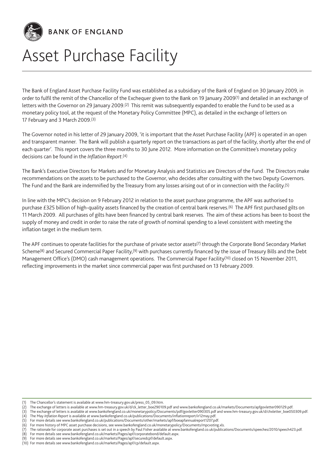

BANK OF ENGLAND

# Asset Purchase Facility

The Bank of England Asset Purchase Facility Fund was established as a subsidiary of the Bank of England on 30 January 2009, in order to fulfil the remit of the Chancellor of the Exchequer given to the Bank on 19 January 2009(1) and detailed in an exchange of letters with the Governor on 29 January 2009.(2) This remit was subsequently expanded to enable the Fund to be used as a monetary policy tool, at the request of the Monetary Policy Committee (MPC), as detailed in the exchange of letters on 17 February and 3 March 2009.(3)

The Governor noted in his letter of 29 January 2009, 'it is important that the Asset Purchase Facility (APF) is operated in an open and transparent manner. The Bank will publish a quarterly report on the transactions as part of the facility, shortly after the end of each quarter'. This report covers the three months to 30 June 2012. More information on the Committee's monetary policy decisions can be found in the *Inflation Report*.(4)

The Bank's Executive Directors for Markets and for Monetary Analysis and Statistics are Directors of the Fund. The Directors make recommendations on the assets to be purchased to the Governor, who decides after consulting with the two Deputy Governors. The Fund and the Bank are indemnified by the Treasury from any losses arising out of or in connection with the Facility.(5)

In line with the MPC's decision on 9 February 2012 in relation to the asset purchase programme, the APF was authorised to purchase £325 billion of high-quality assets financed by the creation of central bank reserves.(6) The APF first purchased gilts on 11 March 2009. All purchases of gilts have been financed by central bank reserves. The aim of these actions has been to boost the supply of money and credit in order to raise the rate of growth of nominal spending to a level consistent with meeting the inflation target in the medium term.

The APF continues to operate facilities for the purchase of private sector assets(7) through the Corporate Bond Secondary Market Scheme<sup>(8)</sup> and Secured Commercial Paper Facility,<sup>(9)</sup> with purchases currently financed by the issue of Treasury Bills and the Debt Management Office's (DMO) cash management operations. The Commercial Paper Facility(10) closed on 15 November 2011, reflecting improvements in the market since commercial paper was first purchased on 13 February 2009.

<sup>(1)</sup> The Chancellor's statement is available at www.hm-treasury.gov.uk/press\_05\_09.htm.

<sup>(2)</sup> The exchange of letters is available at www.hm-treasury.gov.uk/d/ck\_letter\_boe290109.pdf and www.bankofengland.co.uk/markets/Documents/apfgovletter090129.pdf.

<sup>(3)</sup> The exchange of letters is available at www.bankofengland.co.uk/monetarypolicy/Documents/pdf/govletter090305.pdf and www.hm-treasury.gov.uk/d/chxletter\_boe050309.pdf.

<sup>(4)</sup> The May *Inflation Report* is available at www.bankofengland.co.uk/publications/Documents/inflationreport/ir12may.pdf. (5) For more details see www.bankofengland.co.uk/publications/Documents/other/markets/apf/boeapfannualreport1207.pdf.

For more history of MPC asset purchase decisions, see www.bankofengland.co.uk/monetarypolicy/Documents/mpcvoting.xls.

<sup>(7)</sup> The rationale for corporate asset purchases is set out in a speech by Paul Fisher available at www.bankofengland.co.uk/publications/Documents/speeches/2010/speech423.pdf.

<sup>(8)</sup> For more details see www.bankofengland.co.uk/markets/Pages/apf/corporatebond/default.aspx.

<sup>(9)</sup> For more details see www.bankofengland.co.uk/markets/Pages/apf/securedcpf/default.aspx.

<sup>(10)</sup> For more details see www.bankofengland.co.uk/markets/Pages/apf/cp/default.aspx.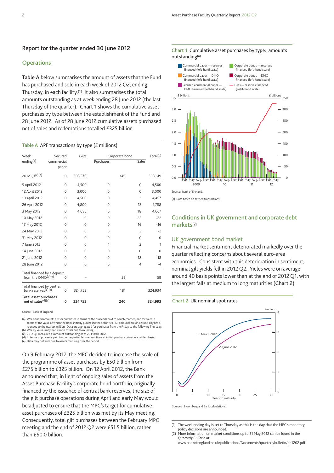## **Report for the quarter ended 30 June 2012**

### **Operations**

**Table A** below summarises the amount of assets that the Fund has purchased and sold in each week of 2012 Q2, ending Thursday, in each facility.(1) It also summarises the total amounts outstanding as at week ending 28 June 2012 (the last Thursday of the quarter). **Chart 1** shows the cumulative asset purchases by type between the establishment of the Fund and 28 June 2012. As of 28 June 2012 cumulative assets purchased net of sales and redemptions totalled £325 billion.

#### **Table A** APF transactions by type (£ millions)

| Week                                                          | Secured             | Gilts       | Corporate bond |     |                | Total <sup>(b)</sup> |
|---------------------------------------------------------------|---------------------|-------------|----------------|-----|----------------|----------------------|
| ending <sup>(a)</sup>                                         | commercial<br>paper |             | Purchases      |     | Sales          |                      |
| 2012 Q1(c)(d)                                                 | 0                   | 303,270     |                | 349 |                | 303,619              |
| 5 April 2012                                                  | 0                   | 4,500       | 0              |     | $\mathbf 0$    | 4,500                |
| 12 April 2012                                                 | $\Omega$            | 3,000       | 0              |     | $\Omega$       | 3,000                |
| 19 April 2012                                                 | $\Omega$            | 4,500       | $\Omega$       |     | 3              | 4,497                |
| 26 April 2012                                                 | $\Omega$            | 4,800       | $\mathbf 0$    |     | 12             | 4,788                |
| 3 May 2012                                                    | $\Omega$            | 4,685       | $\Omega$       |     | 18             | 4,667                |
| 10 May 2012                                                   | $\Omega$            | $\mathbf 0$ | $\mathbf 0$    |     | 22             | $-22$                |
| 17 May 2012                                                   | $\Omega$            | $\Omega$    | $\Omega$       |     | 16             | $-16$                |
| 24 May 2012                                                   | 0                   | 0           | 0              |     | $\overline{c}$ | $-2$                 |
| 31 May 2012                                                   | $\Omega$            | $\Omega$    | $\Omega$       |     | $\Omega$       | $\mathbf 0$          |
| 7 June 2012                                                   | $\Omega$            | $\Omega$    | $\overline{4}$ |     | 3              | $\mathbf{1}$         |
| 14 June 2012                                                  | 0                   | 0           | 0              |     | $\Omega$       | $\mathbf 0$          |
| 21 June 2012                                                  | $\Omega$            | $\Omega$    | $\Omega$       |     | 18             | $-18$                |
| 28 June 2012                                                  | $\Omega$            | $\mathbf 0$ | $\mathbf 0$    |     | 4              | $-4$                 |
| Total financed by a deposit<br>from the DMO <sup>(d)(e)</sup> | $\Omega$            |             |                | 59  |                | 59                   |
| Total financed by central<br>bank reserves(d)(e)              | 0                   | 324,753     |                | 181 |                | 324,934              |
| Total asset purchases<br>net of sales(d)(e)                   | 0                   | 324,753     |                | 240 |                | 324,993              |

Source: Bank of England.

(a) Week-ended amounts are for purchases in terms of the proceeds paid to counterparties, and for sales in ter<br>terms of the value at which the Bank initially purchased the securities. All amounts are on a trade-day basis,<br>

(b) Weekly values may not sum to totals due to rounding.<br>(c) 2012 Q1 measured as amount outstanding as at 29 March 2012.<br>(d) In terms of proceeds paid to counterparties less redemptions at initial purchase price on a settl

(e) Data may not sum due to assets maturing over the period.

On 9 February 2012, the MPC decided to increase the scale of the programme of asset purchases by £50 billion from £275 billion to £325 billion. On 12 April 2012, the Bank announced that, in light of ongoing sales of assets from the Asset Purchase Facility's corporate bond portfolio, originally financed by the issuance of central bank reserves, the size of the gilt purchase operations during April and early May would be adjusted to ensure that the MPC's target for cumulative asset purchases of £325 billion was met by its May meeting. Consequently, total gilt purchases between the February MPC meeting and the end of 2012 Q2 were £51.5 billion, rather than £50.0 billion.





(a) Data based on settled transactions.

## **Conditions in UK government and corporate debt markets**(2)

## UK government bond market

Financial market sentiment deteriorated markedly over the quarter reflecting concerns about several euro-area economies. Consistent with this deterioration in sentiment, nominal gilt yields fell in 2012 Q2. Yields were on average around 40 basis points lower than at the end of 2012 Q1, with the largest falls at medium to long maturities (**Chart 2**).

#### **Chart 2** UK nominal spot rates



Sources: Bloomberg and Bank calculations.

(1) The week ending day is set to Thursday as this is the day that the MPC's monetary policy decisions are announced.

www.bankofengland.co.uk/publications/Documents/quarterlybulletin/qb1202.pdf.

<sup>(2)</sup> More information on market conditions up to 31 May 2012 can be found in the *Quarterly Bulletin* at